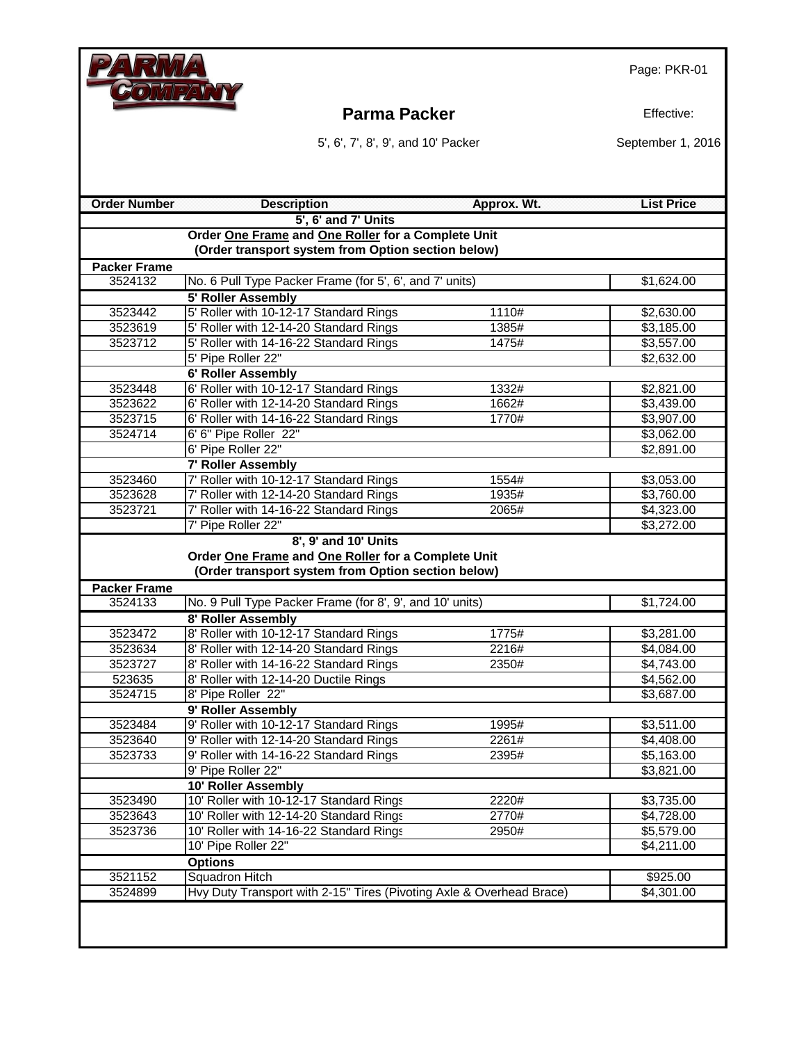

#### **Parma Packer Effective:**

5', 6', 7', 8', 9', and 10' Packer September 1, 2016

| <b>Order Number</b> | <b>Description</b>                                                   | Approx. Wt. | <b>List Price</b> |  |  |  |
|---------------------|----------------------------------------------------------------------|-------------|-------------------|--|--|--|
|                     | 5', 6' and 7' Units                                                  |             |                   |  |  |  |
|                     | Order One Frame and One Roller for a Complete Unit                   |             |                   |  |  |  |
|                     | (Order transport system from Option section below)                   |             |                   |  |  |  |
| <b>Packer Frame</b> |                                                                      |             |                   |  |  |  |
| 3524132             | No. 6 Pull Type Packer Frame (for 5', 6', and 7' units)              |             | \$1,624.00        |  |  |  |
|                     | 5' Roller Assembly                                                   |             |                   |  |  |  |
| 3523442             | 5' Roller with 10-12-17 Standard Rings                               | 1110#       | \$2,630.00        |  |  |  |
| 3523619             | 5' Roller with 12-14-20 Standard Rings                               | 1385#       | \$3,185.00        |  |  |  |
| 3523712             | 5' Roller with 14-16-22 Standard Rings                               | 1475#       | \$3,557.00        |  |  |  |
|                     | 5' Pipe Roller 22"                                                   |             | \$2,632.00        |  |  |  |
|                     | 6' Roller Assembly                                                   |             |                   |  |  |  |
| 3523448             | 6' Roller with 10-12-17 Standard Rings                               | 1332#       | \$2,821.00        |  |  |  |
| 3523622             | 6' Roller with 12-14-20 Standard Rings                               | 1662#       | \$3,439.00        |  |  |  |
| 3523715             | 6' Roller with 14-16-22 Standard Rings                               | 1770#       | \$3,907.00        |  |  |  |
| 3524714             | 6' 6" Pipe Roller 22"                                                |             | \$3,062.00        |  |  |  |
|                     | 6' Pipe Roller 22"                                                   |             | \$2,891.00        |  |  |  |
|                     | 7' Roller Assembly                                                   |             |                   |  |  |  |
| 3523460             | 7' Roller with 10-12-17 Standard Rings                               | 1554#       | \$3,053.00        |  |  |  |
| 3523628             | 7' Roller with 12-14-20 Standard Rings                               | 1935#       | \$3,760.00        |  |  |  |
| 3523721             | 7' Roller with 14-16-22 Standard Rings                               | 2065#       | \$4,323.00        |  |  |  |
|                     | 7' Pipe Roller 22"                                                   |             | \$3,272.00        |  |  |  |
|                     | 8', 9' and 10' Units                                                 |             |                   |  |  |  |
|                     | Order One Frame and One Roller for a Complete Unit                   |             |                   |  |  |  |
|                     | (Order transport system from Option section below)                   |             |                   |  |  |  |
| <b>Packer Frame</b> |                                                                      |             |                   |  |  |  |
| 3524133             | No. 9 Pull Type Packer Frame (for 8', 9', and 10' units)             |             | \$1,724.00        |  |  |  |
|                     | 8' Roller Assembly                                                   |             |                   |  |  |  |
| 3523472             | 8' Roller with 10-12-17 Standard Rings                               | 1775#       | \$3,281.00        |  |  |  |
| 3523634             | 8' Roller with 12-14-20 Standard Rings                               | 2216#       | \$4,084.00        |  |  |  |
| 3523727             | 8' Roller with 14-16-22 Standard Rings                               | 2350#       | \$4,743.00        |  |  |  |
| 523635              | 8' Roller with 12-14-20 Ductile Rings                                |             | \$4,562.00        |  |  |  |
| 3524715             | 8' Pipe Roller 22"                                                   |             | \$3,687.00        |  |  |  |
|                     | 9' Roller Assembly                                                   |             |                   |  |  |  |
| 3523484             | 9' Roller with 10-12-17 Standard Rings                               | 1995#       | \$3,511.00        |  |  |  |
| 3523640             | 9' Roller with 12-14-20 Standard Rings                               | 2261#       | \$4,408.00        |  |  |  |
| 3523733             | 9' Roller with 14-16-22 Standard Rings                               | 2395#       | \$5,163.00        |  |  |  |
|                     | 9' Pipe Roller 22"                                                   |             | \$3,821.00        |  |  |  |
|                     | 10' Roller Assembly                                                  |             |                   |  |  |  |
| 3523490             | 10' Roller with 10-12-17 Standard Rings                              | 2220#       | \$3,735.00        |  |  |  |
| 3523643             | 10' Roller with 12-14-20 Standard Rings                              | 2770#       | \$4,728.00        |  |  |  |
| 3523736             | 10' Roller with 14-16-22 Standard Rings                              | 2950#       | \$5,579.00        |  |  |  |
|                     | 10' Pipe Roller 22"                                                  |             | \$4,211.00        |  |  |  |
|                     | <b>Options</b>                                                       |             |                   |  |  |  |
| 3521152             | <b>Squadron Hitch</b>                                                |             | \$925.00          |  |  |  |
| 3524899             | Hvy Duty Transport with 2-15" Tires (Pivoting Axle & Overhead Brace) |             | \$4,301.00        |  |  |  |
|                     |                                                                      |             |                   |  |  |  |
|                     |                                                                      |             |                   |  |  |  |
|                     |                                                                      |             |                   |  |  |  |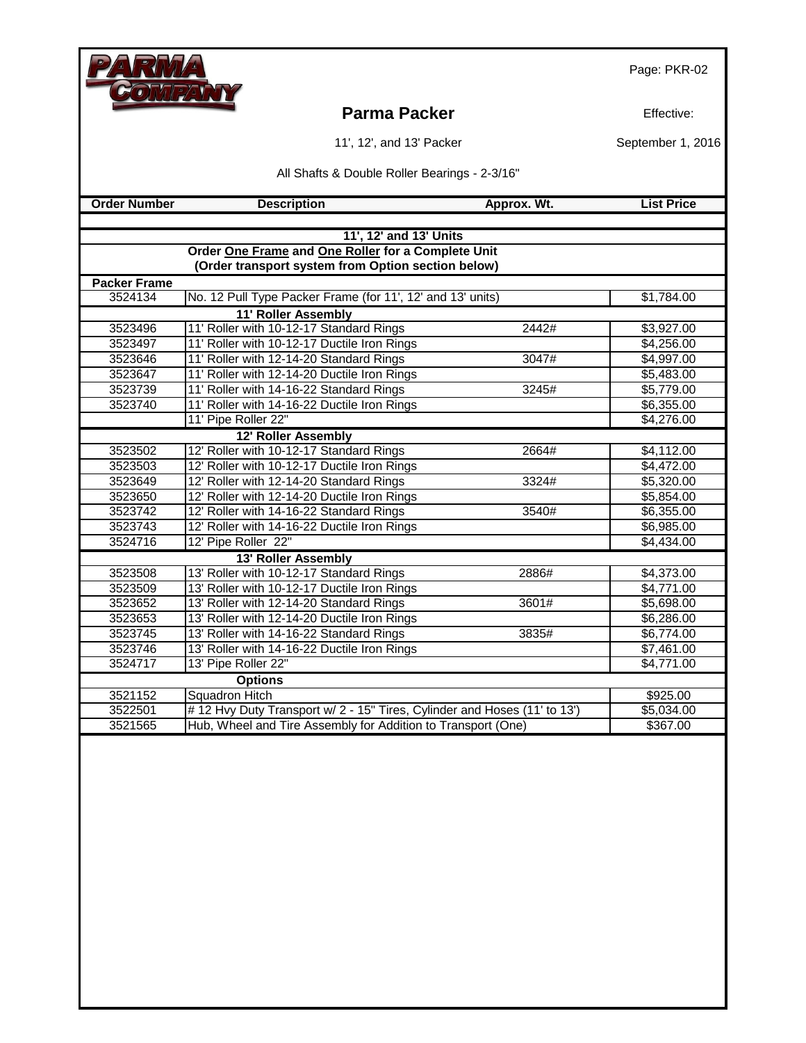|                     |                                                                                                          |             | Page: PKR-02             |
|---------------------|----------------------------------------------------------------------------------------------------------|-------------|--------------------------|
|                     | <b>Parma Packer</b>                                                                                      |             | Effective:               |
|                     | 11', 12', and 13' Packer                                                                                 |             | September 1, 2016        |
|                     | All Shafts & Double Roller Bearings - 2-3/16"                                                            |             |                          |
| <b>Order Number</b> | <b>Description</b>                                                                                       | Approx. Wt. | <b>List Price</b>        |
|                     |                                                                                                          |             |                          |
|                     | 11', 12' and 13' Units                                                                                   |             |                          |
|                     | Order One Frame and One Roller for a Complete Unit<br>(Order transport system from Option section below) |             |                          |
| <b>Packer Frame</b> |                                                                                                          |             |                          |
| 3524134             | No. 12 Pull Type Packer Frame (for 11', 12' and 13' units)                                               |             | \$1,784.00               |
|                     | 11' Roller Assembly                                                                                      |             |                          |
| 3523496             | 11' Roller with 10-12-17 Standard Rings                                                                  | 2442#       | \$3,927.00               |
| 3523497             | 11' Roller with 10-12-17 Ductile Iron Rings                                                              |             | \$4,256.00               |
| 3523646             | 11' Roller with 12-14-20 Standard Rings                                                                  | 3047#       | \$4,997.00               |
| 3523647             | 11' Roller with 12-14-20 Ductile Iron Rings                                                              |             | \$5,483.00               |
| 3523739             | 11' Roller with 14-16-22 Standard Rings                                                                  | 3245#       | \$5,779.00               |
| 3523740             | 11' Roller with 14-16-22 Ductile Iron Rings                                                              |             | \$6,355.00               |
|                     | 11' Pipe Roller 22"                                                                                      |             | \$4,276.00               |
|                     | 12' Roller Assembly                                                                                      |             |                          |
| 3523502             | 12' Roller with 10-12-17 Standard Rings                                                                  | 2664#       | \$4,112.00               |
| 3523503             | 12' Roller with 10-12-17 Ductile Iron Rings                                                              |             | \$4,472.00               |
| 3523649             | 12' Roller with 12-14-20 Standard Rings                                                                  | 3324#       | \$5,320.00               |
| 3523650             | 12' Roller with 12-14-20 Ductile Iron Rings                                                              |             | \$5,854.00               |
| 3523742             | 12' Roller with 14-16-22 Standard Rings                                                                  | 3540#       | \$6,355.00               |
| 3523743<br>3524716  | 12' Roller with 14-16-22 Ductile Iron Rings<br>12' Pipe Roller 22"                                       |             | \$6,985.00<br>\$4,434.00 |
|                     |                                                                                                          |             |                          |
| 3523508             | 13' Roller Assembly<br>13' Roller with 10-12-17 Standard Rings                                           | 2886#       | \$4,373.00               |
| 3523509             | 13' Roller with 10-12-17 Ductile Iron Rings                                                              |             | \$4,771.00               |
| 3523652             | 13' Roller with 12-14-20 Standard Rings                                                                  | 3601#       | \$5,698.00               |
| 3523653             | 13' Roller with 12-14-20 Ductile Iron Rings                                                              |             | \$6,286.00               |
| 3523745             | 13' Roller with 14-16-22 Standard Rings                                                                  | 3835#       | \$6,774.00               |
| 3523746             | 13' Roller with 14-16-22 Ductile Iron Rings                                                              |             | \$7,461.00               |
| 3524717             | 13' Pipe Roller 22"                                                                                      |             | \$4,771.00               |
|                     | <b>Options</b>                                                                                           |             |                          |
| 3521152             | Squadron Hitch                                                                                           |             | \$925.00                 |
| 3522501             | #12 Hvy Duty Transport w/2 - 15" Tires, Cylinder and Hoses (11' to 13')                                  |             | \$5,034.00               |
| 3521565             | Hub, Wheel and Tire Assembly for Addition to Transport (One)                                             |             | \$367.00                 |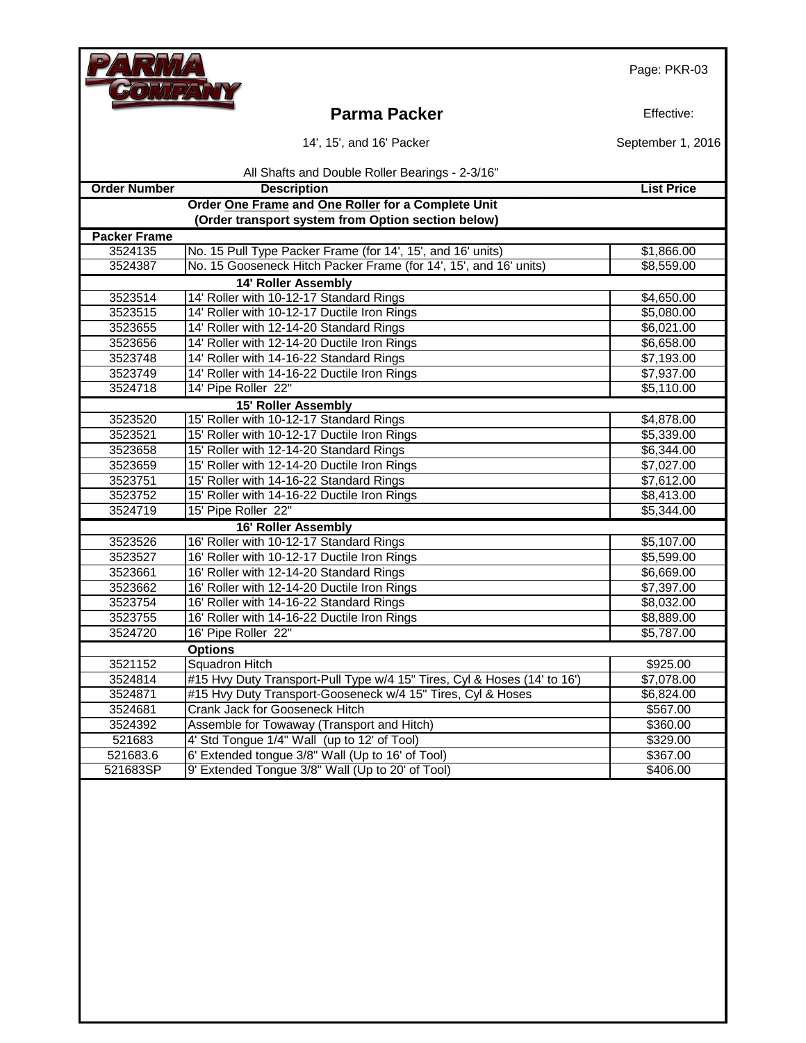### **Parma Packer Effective:**

| 14', 15', and 16' Packer |
|--------------------------|
|--------------------------|

September 1, 2016

|                     | All Shafts and Double Roller Bearings - 2-3/16"                          |                        |
|---------------------|--------------------------------------------------------------------------|------------------------|
| <b>Order Number</b> | <b>Description</b>                                                       | <b>List Price</b>      |
|                     | Order One Frame and One Roller for a Complete Unit                       |                        |
|                     | (Order transport system from Option section below)                       |                        |
| <b>Packer Frame</b> |                                                                          |                        |
| 3524135             | No. 15 Pull Type Packer Frame (for 14', 15', and 16' units)              | \$1,866.00             |
| 3524387             | No. 15 Gooseneck Hitch Packer Frame (for 14', 15', and 16' units)        | \$8,559.00             |
|                     | <b>14' Roller Assembly</b>                                               |                        |
| 3523514             | 14' Roller with 10-12-17 Standard Rings                                  | \$4,650.00             |
| 3523515             | 14' Roller with 10-12-17 Ductile Iron Rings                              | \$5,080.00             |
| 3523655             | 14' Roller with 12-14-20 Standard Rings                                  | \$6,021.00             |
| 3523656             | 14' Roller with 12-14-20 Ductile Iron Rings                              | \$6,658.00             |
| 3523748             | 14' Roller with 14-16-22 Standard Rings                                  | \$7,193.00             |
| 3523749             | 14' Roller with 14-16-22 Ductile Iron Rings                              | \$7,937.00             |
| 3524718             | 14' Pipe Roller 22"                                                      | \$5,110.00             |
|                     | 15' Roller Assembly                                                      |                        |
| 3523520             | 15' Roller with 10-12-17 Standard Rings                                  | \$4,878.00             |
| 3523521             | 15' Roller with 10-12-17 Ductile Iron Rings                              | \$5,339.00             |
| 3523658             | 15' Roller with 12-14-20 Standard Rings                                  | \$6,344.00             |
| 3523659             | 15' Roller with 12-14-20 Ductile Iron Rings                              | \$7,027.00             |
| 3523751             | 15' Roller with 14-16-22 Standard Rings                                  | \$7,612.00             |
| 3523752             | 15' Roller with 14-16-22 Ductile Iron Rings                              | \$8,413.00             |
| 3524719             | 15' Pipe Roller 22"                                                      | \$5,344.00             |
|                     | 16' Roller Assembly                                                      |                        |
| 3523526             | 16' Roller with 10-12-17 Standard Rings                                  | \$5,107.00             |
| 3523527             | 16' Roller with 10-12-17 Ductile Iron Rings                              | \$5,599.00             |
| 3523661             | 16' Roller with 12-14-20 Standard Rings                                  | \$6,669.00             |
| 3523662             | 16' Roller with 12-14-20 Ductile Iron Rings                              | $\overline{$7,397.00}$ |
| 3523754             | 16' Roller with 14-16-22 Standard Rings                                  | \$8,032.00             |
| 3523755             | 16' Roller with 14-16-22 Ductile Iron Rings                              | \$8,889.00             |
| 3524720             | 16' Pipe Roller 22"                                                      | \$5,787.00             |
|                     | <b>Options</b>                                                           |                        |
| 3521152             | <b>Squadron Hitch</b>                                                    | \$925.00               |
| 3524814             | #15 Hvy Duty Transport-Pull Type w/4 15" Tires, Cyl & Hoses (14' to 16') | \$7,078.00             |
| 3524871             | #15 Hvy Duty Transport-Gooseneck w/4 15" Tires, Cyl & Hoses              | \$6,824.00             |
| 3524681             | Crank Jack for Gooseneck Hitch                                           | \$567.00               |
| 3524392             | Assemble for Towaway (Transport and Hitch)                               | \$360.00               |
| 521683              | 4' Std Tongue 1/4" Wall (up to 12' of Tool)                              | \$329.00               |
| 521683.6            | 6' Extended tongue 3/8" Wall (Up to 16' of Tool)                         | \$367.00               |
| 521683SP            | 9' Extended Tongue 3/8" Wall (Up to 20' of Tool)                         | \$406.00               |
|                     |                                                                          |                        |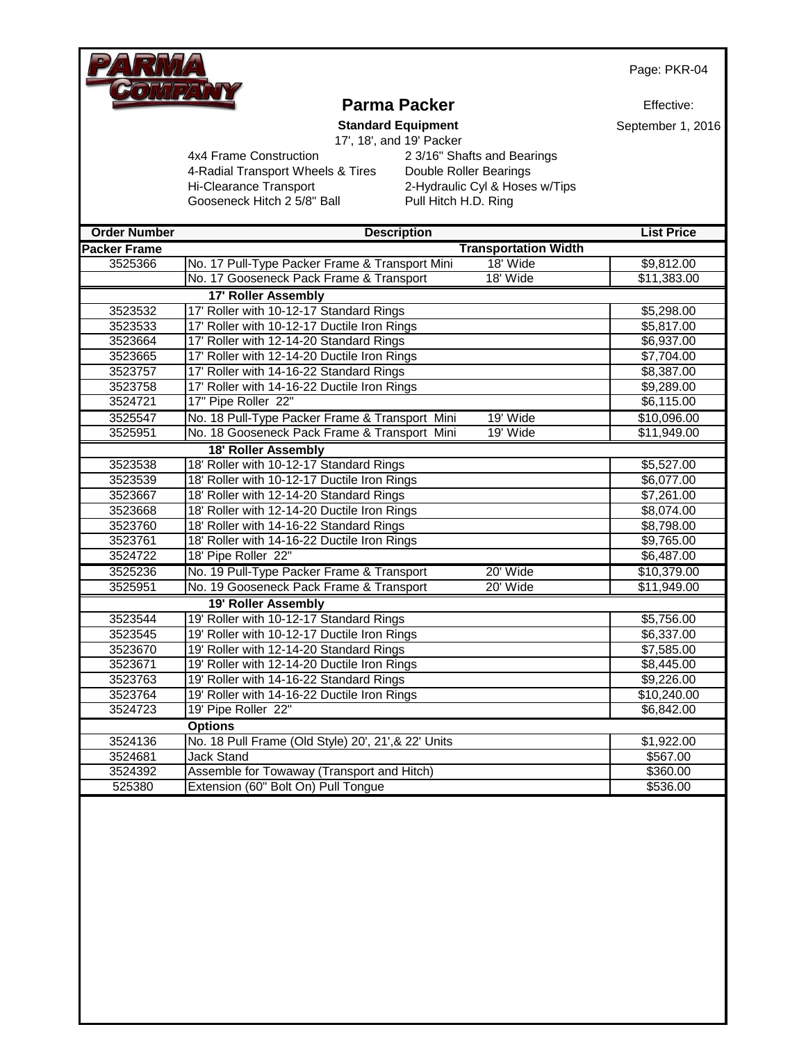

# **Parma Packer**

Effective:

**Standard Equipment** 17', 18', and 19' Packer September 1, 2016

|                        |  | $11, 10,$ allu |  |
|------------------------|--|----------------|--|
| Construction           |  |                |  |
| insnort Wheels & Tires |  |                |  |

4-Radial Transport Wheels & Tires Double Roller Bearings Hi-Clearance Transport 2-Hydraulic Cyl & Hoses w/Tips Gooseneck Hitch 2 5/8" Ball Pull Hitch H.D. Ring

4x4 Frame Construction 2 3/16" Shafts and Bearings

| <b>COLLEGE</b> |  |  | <b>Service Contractor</b> |  |  |
|----------------|--|--|---------------------------|--|--|
|                |  |  |                           |  |  |

| <b>Order Number</b> | <b>Description</b>                                  |                             | <b>List Price</b>   |
|---------------------|-----------------------------------------------------|-----------------------------|---------------------|
| <b>Packer Frame</b> |                                                     | <b>Transportation Width</b> |                     |
| 3525366             | No. 17 Pull-Type Packer Frame & Transport Mini      | 18' Wide                    | \$9,812.00          |
|                     | No. 17 Gooseneck Pack Frame & Transport             | 18' Wide                    | \$11,383.00         |
|                     | <b>17' Roller Assembly</b>                          |                             |                     |
| 3523532             | 17' Roller with 10-12-17 Standard Rings             |                             | \$5,298.00          |
| 3523533             | 17' Roller with 10-12-17 Ductile Iron Rings         |                             | \$5,817.00          |
| 3523664             | 17' Roller with 12-14-20 Standard Rings             |                             | \$6,937.00          |
| 3523665             | 17' Roller with 12-14-20 Ductile Iron Rings         |                             | \$7,704.00          |
| 3523757             | 17' Roller with 14-16-22 Standard Rings             |                             | \$8,387.00          |
| 3523758             | 17' Roller with 14-16-22 Ductile Iron Rings         |                             | \$9,289.00          |
| 3524721             | 17" Pipe Roller 22"                                 |                             | \$6,115.00          |
| 3525547             | No. 18 Pull-Type Packer Frame & Transport Mini      | 19' Wide                    | \$10,096.00         |
| 3525951             | No. 18 Gooseneck Pack Frame & Transport Mini        | 19' Wide                    | \$11,949.00         |
|                     | 18' Roller Assembly                                 |                             |                     |
| 3523538             | 18' Roller with 10-12-17 Standard Rings             |                             | \$5,527.00          |
| 3523539             | 18' Roller with 10-12-17 Ductile Iron Rings         |                             | \$6,077.00          |
| 3523667             | 18' Roller with 12-14-20 Standard Rings             |                             | \$7,261.00          |
| 3523668             | 18' Roller with 12-14-20 Ductile Iron Rings         |                             | \$8,074.00          |
| 3523760             | 18' Roller with 14-16-22 Standard Rings             |                             | \$8,798.00          |
| 3523761             | 18' Roller with 14-16-22 Ductile Iron Rings         |                             | \$9,765.00          |
| 3524722             | 18' Pipe Roller 22"                                 |                             | \$6,487.00          |
| 3525236             | No. 19 Pull-Type Packer Frame & Transport           | 20' Wide                    | \$10,379.00         |
| 3525951             | No. 19 Gooseneck Pack Frame & Transport             | 20' Wide                    | \$11,949.00         |
|                     | 19' Roller Assembly                                 |                             |                     |
| 3523544             | 19' Roller with 10-12-17 Standard Rings             |                             | \$5,756.00          |
| 3523545             | 19' Roller with 10-12-17 Ductile Iron Rings         |                             | \$6,337.00          |
| 3523670             | 19' Roller with 12-14-20 Standard Rings             |                             | \$7,585.00          |
| 3523671             | 19' Roller with 12-14-20 Ductile Iron Rings         |                             | \$8,445.00          |
| 3523763             | 19' Roller with 14-16-22 Standard Rings             |                             | \$9,226.00          |
| 3523764             | 19' Roller with 14-16-22 Ductile Iron Rings         |                             | $\sqrt{$10,240.00}$ |
| 3524723             | 19' Pipe Roller 22"                                 |                             | \$6,842.00          |
|                     | <b>Options</b>                                      |                             |                     |
| 3524136             | No. 18 Pull Frame (Old Style) 20', 21', & 22' Units |                             | \$1,922.00          |
| 3524681             | <b>Jack Stand</b>                                   |                             | \$567.00            |
| 3524392             | Assemble for Towaway (Transport and Hitch)          |                             | \$360.00            |
| 525380              | Extension (60" Bolt On) Pull Tongue                 |                             | \$536.00            |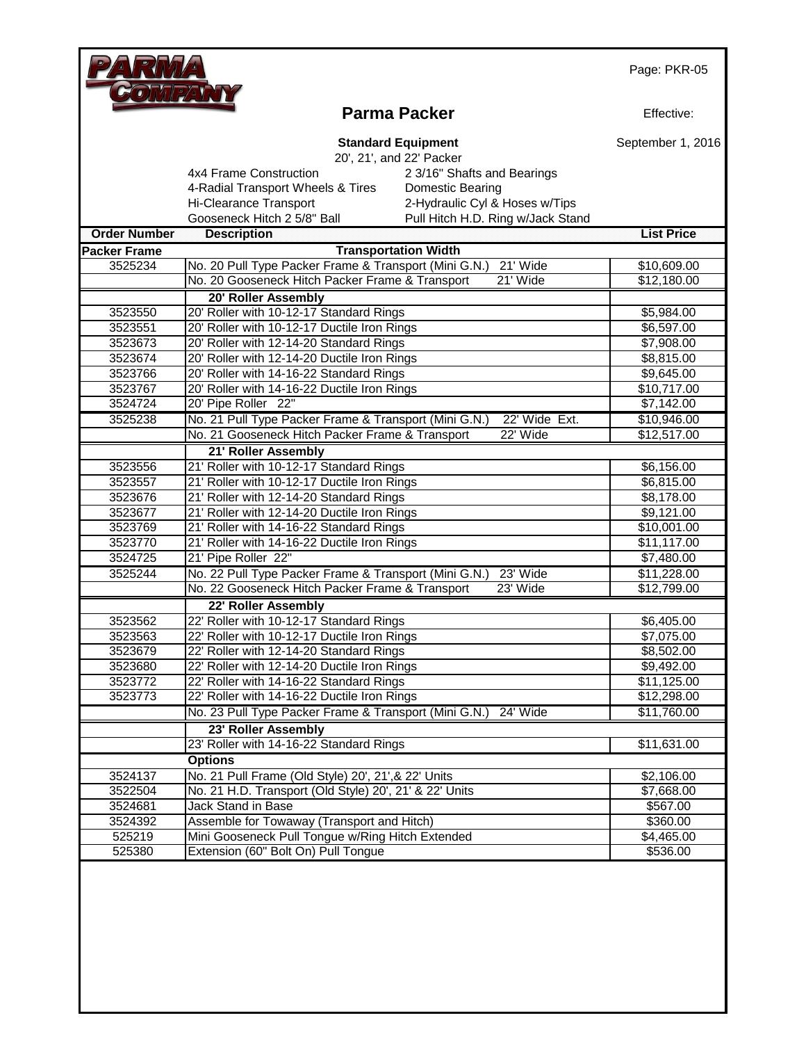

### **Parma Packer**

Effective:

|                     | <b>Standard Equipment</b>                                      |                                   | September 1, 2016 |
|---------------------|----------------------------------------------------------------|-----------------------------------|-------------------|
|                     | 20', 21', and 22' Packer                                       |                                   |                   |
|                     | 4x4 Frame Construction                                         | 2 3/16" Shafts and Bearings       |                   |
|                     | 4-Radial Transport Wheels & Tires                              | <b>Domestic Bearing</b>           |                   |
|                     | Hi-Clearance Transport                                         | 2-Hydraulic Cyl & Hoses w/Tips    |                   |
|                     | Gooseneck Hitch 2 5/8" Ball                                    | Pull Hitch H.D. Ring w/Jack Stand |                   |
| <b>Order Number</b> | <b>Description</b>                                             |                                   | <b>List Price</b> |
| <b>Packer Frame</b> | <b>Transportation Width</b>                                    |                                   |                   |
| 3525234             | No. 20 Pull Type Packer Frame & Transport (Mini G.N.)          | 21' Wide                          | \$10,609.00       |
|                     | No. 20 Gooseneck Hitch Packer Frame & Transport                | 21' Wide                          | \$12,180.00       |
|                     | 20' Roller Assembly                                            |                                   |                   |
| 3523550             | 20' Roller with 10-12-17 Standard Rings                        |                                   | \$5,984.00        |
| 3523551             | 20' Roller with 10-12-17 Ductile Iron Rings                    |                                   | \$6,597.00        |
| 3523673             | 20' Roller with 12-14-20 Standard Rings                        |                                   | \$7,908.00        |
| 3523674             | 20' Roller with 12-14-20 Ductile Iron Rings                    |                                   | \$8,815.00        |
| 3523766             | 20' Roller with 14-16-22 Standard Rings                        |                                   | \$9,645.00        |
| 3523767             | 20' Roller with 14-16-22 Ductile Iron Rings                    |                                   | \$10,717.00       |
| 3524724             | 20' Pipe Roller 22"                                            |                                   | \$7,142.00        |
| 3525238             | No. 21 Pull Type Packer Frame & Transport (Mini G.N.)          | 22' Wide Ext.                     | \$10,946.00       |
|                     | No. 21 Gooseneck Hitch Packer Frame & Transport                | 22' Wide                          | \$12,517.00       |
|                     | 21' Roller Assembly                                            |                                   |                   |
| 3523556             | 21' Roller with 10-12-17 Standard Rings                        |                                   | \$6,156.00        |
| 3523557             | 21' Roller with 10-12-17 Ductile Iron Rings                    |                                   | \$6,815.00        |
| 3523676             | 21' Roller with 12-14-20 Standard Rings                        |                                   | \$8,178.00        |
| 3523677             | 21' Roller with 12-14-20 Ductile Iron Rings                    |                                   | \$9,121.00        |
| 3523769             | 21' Roller with 14-16-22 Standard Rings                        |                                   | \$10,001.00       |
| 3523770             | 21' Roller with 14-16-22 Ductile Iron Rings                    |                                   | \$11,117.00       |
| 3524725             | 21' Pipe Roller 22"                                            |                                   | \$7,480.00        |
| 3525244             | No. 22 Pull Type Packer Frame & Transport (Mini G.N.)          | 23' Wide                          | \$11,228.00       |
|                     | No. 22 Gooseneck Hitch Packer Frame & Transport                | 23' Wide                          | \$12,799.00       |
|                     | 22' Roller Assembly                                            |                                   |                   |
| 3523562             | 22' Roller with 10-12-17 Standard Rings                        |                                   | \$6,405.00        |
| 3523563             | 22' Roller with 10-12-17 Ductile Iron Rings                    |                                   | \$7,075.00        |
| 3523679             | 22' Roller with 12-14-20 Standard Rings                        |                                   | \$8,502.00        |
| 3523680             | 22' Roller with 12-14-20 Ductile Iron Rings                    |                                   | \$9,492.00        |
| 3523772             | 22' Roller with 14-16-22 Standard Rings                        |                                   | \$11,125.00       |
| 3523773             | 22' Roller with 14-16-22 Ductile Iron Rings                    |                                   | \$12,298.00       |
|                     | No. 23 Pull Type Packer Frame & Transport (Mini G.N.) 24' Wide |                                   | \$11,760.00       |
|                     | 23' Roller Assembly                                            |                                   |                   |
|                     | 23' Roller with 14-16-22 Standard Rings                        |                                   | \$11,631.00       |
|                     | <b>Options</b>                                                 |                                   |                   |
| 3524137             | No. 21 Pull Frame (Old Style) 20', 21', & 22' Units            |                                   | \$2,106.00        |
| 3522504             | No. 21 H.D. Transport (Old Style) 20', 21' & 22' Units         |                                   | \$7,668.00        |
| 3524681             | Jack Stand in Base                                             |                                   | \$567.00          |
| 3524392             | Assemble for Towaway (Transport and Hitch)                     |                                   | \$360.00          |
| 525219              | Mini Gooseneck Pull Tongue w/Ring Hitch Extended               |                                   | \$4,465.00        |
| 525380              | Extension (60" Bolt On) Pull Tongue                            |                                   | \$536.00          |
|                     |                                                                |                                   |                   |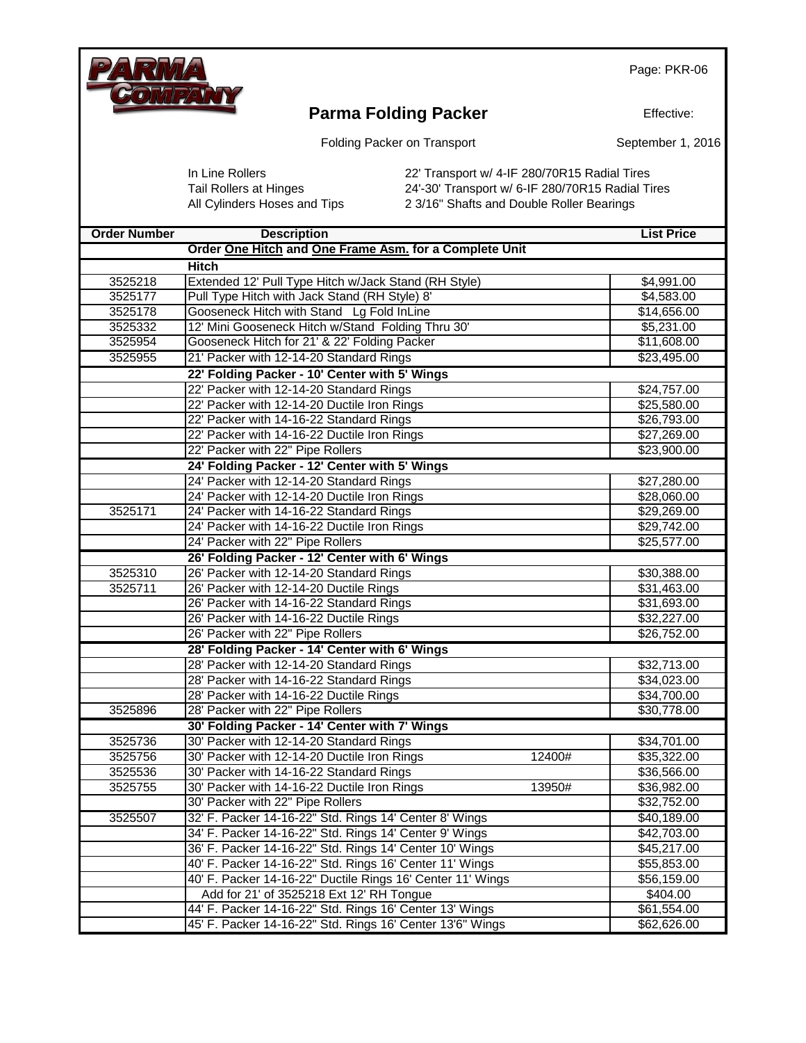

## **Parma Folding Packer**

Effective:

Folding Packer on Transport

September 1, 2016

In Line Rollers 22' Transport w/ 4-IF 280/70R15 Radial Tires<br>Tail Rollers at Hinges 24'-30' Transport w/ 6-IF 280/70R15 Radial Tir 24'-30' Transport w/ 6-IF 280/70R15 Radial Tires All Cylinders Hoses and Tips 2 3/16" Shafts and Double Roller Bearings

| <b>Order Number</b> | <b>Description</b>                                         | <b>List Price</b>     |
|---------------------|------------------------------------------------------------|-----------------------|
|                     | Order One Hitch and One Frame Asm. for a Complete Unit     |                       |
|                     | <b>Hitch</b>                                               |                       |
| 3525218             | Extended 12' Pull Type Hitch w/Jack Stand (RH Style)       | \$4,991.00            |
| 3525177             | Pull Type Hitch with Jack Stand (RH Style) 8'              | \$4,583.00            |
| 3525178             | Gooseneck Hitch with Stand Lg Fold InLine                  | \$14,656.00           |
| 3525332             | 12' Mini Gooseneck Hitch w/Stand Folding Thru 30'          | \$5,231.00            |
| 3525954             | Gooseneck Hitch for 21' & 22' Folding Packer               | \$11,608.00           |
| 3525955             | 21' Packer with 12-14-20 Standard Rings                    | \$23,495.00           |
|                     | 22' Folding Packer - 10' Center with 5' Wings              |                       |
|                     | 22' Packer with 12-14-20 Standard Rings                    | \$24,757.00           |
|                     | 22' Packer with 12-14-20 Ductile Iron Rings                | \$25,580.00           |
|                     | 22' Packer with 14-16-22 Standard Rings                    | \$26,793.00           |
|                     | 22' Packer with 14-16-22 Ductile Iron Rings                | \$27,269.00           |
|                     | 22' Packer with 22" Pipe Rollers                           | \$23,900.00           |
|                     | 24' Folding Packer - 12' Center with 5' Wings              |                       |
|                     | 24' Packer with 12-14-20 Standard Rings                    | \$27,280.00           |
|                     | 24' Packer with 12-14-20 Ductile Iron Rings                | \$28,060.00           |
| 3525171             | 24' Packer with 14-16-22 Standard Rings                    | \$29,269.00           |
|                     | 24' Packer with 14-16-22 Ductile Iron Rings                | \$29,742.00           |
|                     | 24' Packer with 22" Pipe Rollers                           | \$25,577.00           |
|                     | 26' Folding Packer - 12' Center with 6' Wings              |                       |
| 3525310             | 26' Packer with 12-14-20 Standard Rings                    | \$30,388.00           |
| 3525711             | 26' Packer with 12-14-20 Ductile Rings                     | \$31,463.00           |
|                     | 26' Packer with 14-16-22 Standard Rings                    | \$31,693.00           |
|                     | 26' Packer with 14-16-22 Ductile Rings                     | \$32,227.00           |
|                     | 26' Packer with 22" Pipe Rollers                           | \$26,752.00           |
|                     | 28' Folding Packer - 14' Center with 6' Wings              |                       |
|                     | 28' Packer with 12-14-20 Standard Rings                    | \$32,713.00           |
|                     | 28' Packer with 14-16-22 Standard Rings                    | \$34,023.00           |
|                     | 28' Packer with 14-16-22 Ductile Rings                     | \$34,700.00           |
| 3525896             | 28' Packer with 22" Pipe Rollers                           | \$30,778.00           |
|                     | 30' Folding Packer - 14' Center with 7' Wings              |                       |
| 3525736             | 30' Packer with 12-14-20 Standard Rings                    | \$34,701.00           |
| 3525756             | 30' Packer with 12-14-20 Ductile Iron Rings                | 12400#<br>\$35,322.00 |
| 3525536             | 30' Packer with 14-16-22 Standard Rings                    | \$36,566.00           |
| 3525755             | 30' Packer with 14-16-22 Ductile Iron Rings                | \$36,982.00<br>13950# |
|                     | 30' Packer with 22" Pipe Rollers                           | \$32,752.00           |
| 3525507             | 32' F. Packer 14-16-22" Std. Rings 14' Center 8' Wings     | \$40,189.00           |
|                     | 34' F. Packer 14-16-22" Std. Rings 14' Center 9' Wings     | \$42,703.00           |
|                     | 36' F. Packer 14-16-22" Std. Rings 14' Center 10' Wings    | \$45,217.00           |
|                     | 40' F. Packer 14-16-22" Std. Rings 16' Center 11' Wings    | \$55,853.00           |
|                     | 40' F. Packer 14-16-22" Ductile Rings 16' Center 11' Wings | \$56,159.00           |
|                     | Add for 21' of 3525218 Ext 12' RH Tongue                   | \$404.00              |
|                     | 44' F. Packer 14-16-22" Std. Rings 16' Center 13' Wings    |                       |
|                     | 45' F. Packer 14-16-22" Std. Rings 16' Center 13'6" Wings  | \$62,626.00           |